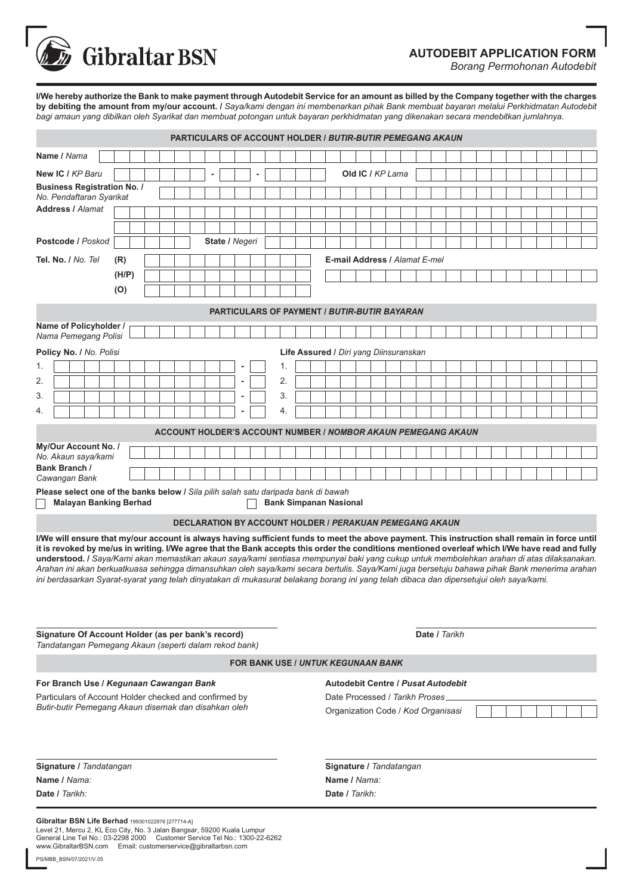**AUTODEBIT APPLICATION FORM**

**Gibraltar BSN** 

*Borang Permohonan Autodebit*

**I/We hereby authorize the Bank to make payment through Autodebit Service for an amount as billed by the Company together with the charges by debiting the amount from my/our account. /** *Saya/kami dengan ini membenarkan pihak Bank membuat bayaran melalui Perkhidmatan Autodebit bagi amaun yang dibilkan oleh Syarikat dan membuat potongan untuk bayaran perkhidmatan yang dikenakan secara mendebitkan jumlahnya.*

| <b>PARTICULARS OF ACCOUNT HOLDER / BUTIR-BUTIR PEMEGANG AKAUN</b>                                                                                                                                                                                                                                                                                                                                                                                                                                                                                                                                                                                                                                                                         |                                                                                                                                                                                                           |  |  |  |  |  |  |                |  |  |  |    |                                           |  |                                    |                                           |  |  |                  |  |  |  |  |  |  |  |  |  |  |  |  |
|-------------------------------------------------------------------------------------------------------------------------------------------------------------------------------------------------------------------------------------------------------------------------------------------------------------------------------------------------------------------------------------------------------------------------------------------------------------------------------------------------------------------------------------------------------------------------------------------------------------------------------------------------------------------------------------------------------------------------------------------|-----------------------------------------------------------------------------------------------------------------------------------------------------------------------------------------------------------|--|--|--|--|--|--|----------------|--|--|--|----|-------------------------------------------|--|------------------------------------|-------------------------------------------|--|--|------------------|--|--|--|--|--|--|--|--|--|--|--|--|
| Name / Nama                                                                                                                                                                                                                                                                                                                                                                                                                                                                                                                                                                                                                                                                                                                               |                                                                                                                                                                                                           |  |  |  |  |  |  |                |  |  |  |    |                                           |  |                                    |                                           |  |  |                  |  |  |  |  |  |  |  |  |  |  |  |  |
| New IC / KP Baru                                                                                                                                                                                                                                                                                                                                                                                                                                                                                                                                                                                                                                                                                                                          |                                                                                                                                                                                                           |  |  |  |  |  |  |                |  |  |  |    |                                           |  |                                    |                                           |  |  | Old IC / KP Lama |  |  |  |  |  |  |  |  |  |  |  |  |
| <b>Business Registration No. /</b><br>No. Pendaftaran Syarikat                                                                                                                                                                                                                                                                                                                                                                                                                                                                                                                                                                                                                                                                            |                                                                                                                                                                                                           |  |  |  |  |  |  |                |  |  |  |    |                                           |  |                                    |                                           |  |  |                  |  |  |  |  |  |  |  |  |  |  |  |  |
| <b>Address / Alamat</b>                                                                                                                                                                                                                                                                                                                                                                                                                                                                                                                                                                                                                                                                                                                   |                                                                                                                                                                                                           |  |  |  |  |  |  |                |  |  |  |    |                                           |  |                                    |                                           |  |  |                  |  |  |  |  |  |  |  |  |  |  |  |  |
|                                                                                                                                                                                                                                                                                                                                                                                                                                                                                                                                                                                                                                                                                                                                           |                                                                                                                                                                                                           |  |  |  |  |  |  |                |  |  |  |    |                                           |  |                                    |                                           |  |  |                  |  |  |  |  |  |  |  |  |  |  |  |  |
| Postcode / Poskod                                                                                                                                                                                                                                                                                                                                                                                                                                                                                                                                                                                                                                                                                                                         |                                                                                                                                                                                                           |  |  |  |  |  |  | State / Negeri |  |  |  |    |                                           |  |                                    |                                           |  |  |                  |  |  |  |  |  |  |  |  |  |  |  |  |
| Tel. No. / No. Tel<br>(R)                                                                                                                                                                                                                                                                                                                                                                                                                                                                                                                                                                                                                                                                                                                 |                                                                                                                                                                                                           |  |  |  |  |  |  |                |  |  |  |    |                                           |  |                                    | E-mail Address / Alamat E-mel             |  |  |                  |  |  |  |  |  |  |  |  |  |  |  |  |
| (H/P)                                                                                                                                                                                                                                                                                                                                                                                                                                                                                                                                                                                                                                                                                                                                     |                                                                                                                                                                                                           |  |  |  |  |  |  |                |  |  |  |    |                                           |  |                                    |                                           |  |  |                  |  |  |  |  |  |  |  |  |  |  |  |  |
| (O)                                                                                                                                                                                                                                                                                                                                                                                                                                                                                                                                                                                                                                                                                                                                       |                                                                                                                                                                                                           |  |  |  |  |  |  |                |  |  |  |    |                                           |  |                                    |                                           |  |  |                  |  |  |  |  |  |  |  |  |  |  |  |  |
| <b>PARTICULARS OF PAYMENT / BUTIR-BUTIR BAYARAN</b>                                                                                                                                                                                                                                                                                                                                                                                                                                                                                                                                                                                                                                                                                       |                                                                                                                                                                                                           |  |  |  |  |  |  |                |  |  |  |    |                                           |  |                                    |                                           |  |  |                  |  |  |  |  |  |  |  |  |  |  |  |  |
| Name of Policyholder /<br>Nama Pemegang Polisi                                                                                                                                                                                                                                                                                                                                                                                                                                                                                                                                                                                                                                                                                            |                                                                                                                                                                                                           |  |  |  |  |  |  |                |  |  |  |    |                                           |  |                                    |                                           |  |  |                  |  |  |  |  |  |  |  |  |  |  |  |  |
| Policy No. / No. Polisi<br>Life Assured / Diri yang Diinsuranskan                                                                                                                                                                                                                                                                                                                                                                                                                                                                                                                                                                                                                                                                         |                                                                                                                                                                                                           |  |  |  |  |  |  |                |  |  |  |    |                                           |  |                                    |                                           |  |  |                  |  |  |  |  |  |  |  |  |  |  |  |  |
| 1.                                                                                                                                                                                                                                                                                                                                                                                                                                                                                                                                                                                                                                                                                                                                        |                                                                                                                                                                                                           |  |  |  |  |  |  |                |  |  |  | 1. |                                           |  |                                    |                                           |  |  |                  |  |  |  |  |  |  |  |  |  |  |  |  |
| 2.                                                                                                                                                                                                                                                                                                                                                                                                                                                                                                                                                                                                                                                                                                                                        |                                                                                                                                                                                                           |  |  |  |  |  |  |                |  |  |  | 2. |                                           |  |                                    |                                           |  |  |                  |  |  |  |  |  |  |  |  |  |  |  |  |
| 3.                                                                                                                                                                                                                                                                                                                                                                                                                                                                                                                                                                                                                                                                                                                                        |                                                                                                                                                                                                           |  |  |  |  |  |  |                |  |  |  | 3. |                                           |  |                                    |                                           |  |  |                  |  |  |  |  |  |  |  |  |  |  |  |  |
| 4.                                                                                                                                                                                                                                                                                                                                                                                                                                                                                                                                                                                                                                                                                                                                        |                                                                                                                                                                                                           |  |  |  |  |  |  |                |  |  |  | 4. |                                           |  |                                    |                                           |  |  |                  |  |  |  |  |  |  |  |  |  |  |  |  |
| <b>ACCOUNT HOLDER'S ACCOUNT NUMBER / NOMBOR AKAUN PEMEGANG AKAUN</b>                                                                                                                                                                                                                                                                                                                                                                                                                                                                                                                                                                                                                                                                      |                                                                                                                                                                                                           |  |  |  |  |  |  |                |  |  |  |    |                                           |  |                                    |                                           |  |  |                  |  |  |  |  |  |  |  |  |  |  |  |  |
| My/Our Account No. /<br>No. Akaun saya/kami                                                                                                                                                                                                                                                                                                                                                                                                                                                                                                                                                                                                                                                                                               |                                                                                                                                                                                                           |  |  |  |  |  |  |                |  |  |  |    |                                           |  |                                    |                                           |  |  |                  |  |  |  |  |  |  |  |  |  |  |  |  |
| Bank Branch /                                                                                                                                                                                                                                                                                                                                                                                                                                                                                                                                                                                                                                                                                                                             |                                                                                                                                                                                                           |  |  |  |  |  |  |                |  |  |  |    |                                           |  |                                    |                                           |  |  |                  |  |  |  |  |  |  |  |  |  |  |  |  |
| Cawangan Bank<br>Please select one of the banks below / Sila pilih salah satu daripada bank di bawah<br><b>Malayan Banking Berhad</b><br><b>Bank Simpanan Nasional</b>                                                                                                                                                                                                                                                                                                                                                                                                                                                                                                                                                                    |                                                                                                                                                                                                           |  |  |  |  |  |  |                |  |  |  |    |                                           |  |                                    |                                           |  |  |                  |  |  |  |  |  |  |  |  |  |  |  |  |
| <b>DECLARATION BY ACCOUNT HOLDER / PERAKUAN PEMEGANG AKAUN</b>                                                                                                                                                                                                                                                                                                                                                                                                                                                                                                                                                                                                                                                                            |                                                                                                                                                                                                           |  |  |  |  |  |  |                |  |  |  |    |                                           |  |                                    |                                           |  |  |                  |  |  |  |  |  |  |  |  |  |  |  |  |
| I/We will ensure that my/our account is always having sufficient funds to meet the above payment. This instruction shall remain in force until<br>it is revoked by me/us in writing. I/We agree that the Bank accepts this order the conditions mentioned overleaf which I/We have read and fully<br>understood. I Saya/Kami akan memastikan akaun saya/kami sentiasa mempunyai baki yang cukup untuk membolehkan arahan di atas dilaksanakan.<br>Arahan ini akan berkuatkuasa sehingga dimansuhkan oleh saya/kami secara bertulis. Saya/Kami juga bersetuju bahawa pihak Bank menerima arahan<br>ini berdasarkan Syarat-syarat yang telah dinyatakan di mukasurat belakang borang ini yang telah dibaca dan dipersetujui oleh saya/kami. |                                                                                                                                                                                                           |  |  |  |  |  |  |                |  |  |  |    |                                           |  |                                    |                                           |  |  |                  |  |  |  |  |  |  |  |  |  |  |  |  |
| Signature Of Account Holder (as per bank's record)<br>Tandatangan Pemegang Akaun (seperti dalam rekod bank)                                                                                                                                                                                                                                                                                                                                                                                                                                                                                                                                                                                                                               |                                                                                                                                                                                                           |  |  |  |  |  |  |                |  |  |  |    | Date / Tarikh                             |  |                                    |                                           |  |  |                  |  |  |  |  |  |  |  |  |  |  |  |  |
|                                                                                                                                                                                                                                                                                                                                                                                                                                                                                                                                                                                                                                                                                                                                           |                                                                                                                                                                                                           |  |  |  |  |  |  |                |  |  |  |    |                                           |  |                                    | <b>FOR BANK USE / UNTUK KEGUNAAN BANK</b> |  |  |                  |  |  |  |  |  |  |  |  |  |  |  |  |
| For Branch Use / Kegunaan Cawangan Bank                                                                                                                                                                                                                                                                                                                                                                                                                                                                                                                                                                                                                                                                                                   |                                                                                                                                                                                                           |  |  |  |  |  |  |                |  |  |  |    | <b>Autodebit Centre / Pusat Autodebit</b> |  |                                    |                                           |  |  |                  |  |  |  |  |  |  |  |  |  |  |  |  |
| Particulars of Account Holder checked and confirmed by<br>Butir-butir Pemegang Akaun disemak dan disahkan oleh                                                                                                                                                                                                                                                                                                                                                                                                                                                                                                                                                                                                                            |                                                                                                                                                                                                           |  |  |  |  |  |  |                |  |  |  |    | Date Processed / Tarikh Proses            |  |                                    |                                           |  |  |                  |  |  |  |  |  |  |  |  |  |  |  |  |
|                                                                                                                                                                                                                                                                                                                                                                                                                                                                                                                                                                                                                                                                                                                                           |                                                                                                                                                                                                           |  |  |  |  |  |  |                |  |  |  |    |                                           |  | Organization Code / Kod Organisasi |                                           |  |  |                  |  |  |  |  |  |  |  |  |  |  |  |  |
| Signature / Tandatangan                                                                                                                                                                                                                                                                                                                                                                                                                                                                                                                                                                                                                                                                                                                   |                                                                                                                                                                                                           |  |  |  |  |  |  |                |  |  |  |    |                                           |  | Signature / Tandatangan            |                                           |  |  |                  |  |  |  |  |  |  |  |  |  |  |  |  |
| Name / Nama:                                                                                                                                                                                                                                                                                                                                                                                                                                                                                                                                                                                                                                                                                                                              |                                                                                                                                                                                                           |  |  |  |  |  |  |                |  |  |  |    |                                           |  | Name / Nama:                       |                                           |  |  |                  |  |  |  |  |  |  |  |  |  |  |  |  |
| Date / Tarikh:                                                                                                                                                                                                                                                                                                                                                                                                                                                                                                                                                                                                                                                                                                                            |                                                                                                                                                                                                           |  |  |  |  |  |  |                |  |  |  |    | Date / Tarikh:                            |  |                                    |                                           |  |  |                  |  |  |  |  |  |  |  |  |  |  |  |  |
|                                                                                                                                                                                                                                                                                                                                                                                                                                                                                                                                                                                                                                                                                                                                           | Gibraltar BSN Life Berhad 199301022976 [277714-A]<br>Level 21, Mercu 2, KL Eco City, No. 3 Jalan Bangsar, 59200 Kuala Lumpur<br>General Line Tel No.: 03-2298 2000 Customer Service Tel No.: 1300-22-6262 |  |  |  |  |  |  |                |  |  |  |    |                                           |  |                                    |                                           |  |  |                  |  |  |  |  |  |  |  |  |  |  |  |  |

PS/MBB\_BSN/07/2021/V.05

www.GibraltarBSN.com Email: customerservice@gibraltarbsn.com